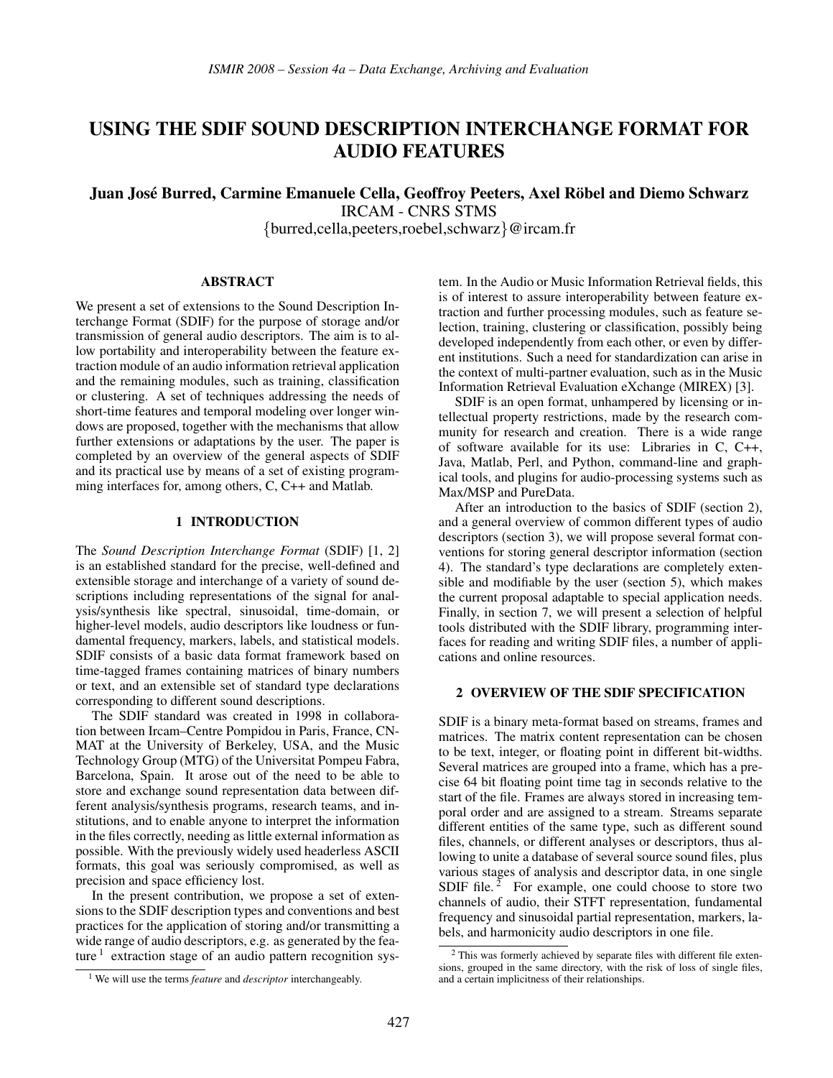# USING THE SDIF SOUND DESCRIPTION INTERCHANGE FORMAT FOR AUDIO FEATURES

Juan José Burred, Carmine Emanuele Cella, Geoffroy Peeters, Axel Röbel and Diemo Schwarz IRCAM - CNRS STMS {burred,cella,peeters,roebel,schwarz}@ircam.fr

#### ABSTRACT

We present a set of extensions to the Sound Description Interchange Format (SDIF) for the purpose of storage and/or transmission of general audio descriptors. The aim is to allow portability and interoperability between the feature extraction module of an audio information retrieval application and the remaining modules, such as training, classification or clustering. A set of techniques addressing the needs of short-time features and temporal modeling over longer windows are proposed, together with the mechanisms that allow further extensions or adaptations by the user. The paper is completed by an overview of the general aspects of SDIF and its practical use by means of a set of existing programming interfaces for, among others, C, C++ and Matlab.

## 1 INTRODUCTION

The *Sound Description Interchange Format* (SDIF) [1, 2] is an established standard for the precise, well-defined and extensible storage and interchange of a variety of sound descriptions including representations of the signal for analysis/synthesis like spectral, sinusoidal, time-domain, or higher-level models, audio descriptors like loudness or fundamental frequency, markers, labels, and statistical models. SDIF consists of a basic data format framework based on time-tagged frames containing matrices of binary numbers or text, and an extensible set of standard type declarations corresponding to different sound descriptions.

The SDIF standard was created in 1998 in collaboration between Ircam–Centre Pompidou in Paris, France, CN-MAT at the University of Berkeley, USA, and the Music Technology Group (MTG) of the Universitat Pompeu Fabra, Barcelona, Spain. It arose out of the need to be able to store and exchange sound representation data between different analysis/synthesis programs, research teams, and institutions, and to enable anyone to interpret the information in the files correctly, needing as little external information as possible. With the previously widely used headerless ASCII formats, this goal was seriously compromised, as well as precision and space efficiency lost.

In the present contribution, we propose a set of extensions to the SDIF description types and conventions and best practices for the application of storing and/or transmitting a wide range of audio descriptors, e.g. as generated by the feature  $<sup>1</sup>$  extraction stage of an audio pattern recognition sys-</sup>

tem. In the Audio or Music Information Retrieval fields, this is of interest to assure interoperability between feature extraction and further processing modules, such as feature selection, training, clustering or classification, possibly being developed independently from each other, or even by different institutions. Such a need for standardization can arise in the context of multi-partner evaluation, such as in the Music Information Retrieval Evaluation eXchange (MIREX) [3].

SDIF is an open format, unhampered by licensing or intellectual property restrictions, made by the research community for research and creation. There is a wide range of software available for its use: Libraries in C, C++, Java, Matlab, Perl, and Python, command-line and graphical tools, and plugins for audio-processing systems such as Max/MSP and PureData.

After an introduction to the basics of SDIF (section 2), and a general overview of common different types of audio descriptors (section 3), we will propose several format conventions for storing general descriptor information (section 4). The standard's type declarations are completely extensible and modifiable by the user (section 5), which makes the current proposal adaptable to special application needs. Finally, in section 7, we will present a selection of helpful tools distributed with the SDIF library, programming interfaces for reading and writing SDIF files, a number of applications and online resources.

# 2 OVERVIEW OF THE SDIF SPECIFICATION

SDIF is a binary meta-format based on streams, frames and matrices. The matrix content representation can be chosen to be text, integer, or floating point in different bit-widths. Several matrices are grouped into a frame, which has a precise 64 bit floating point time tag in seconds relative to the start of the file. Frames are always stored in increasing temporal order and are assigned to a stream. Streams separate different entities of the same type, such as different sound files, channels, or different analyses or descriptors, thus allowing to unite a database of several source sound files, plus various stages of analysis and descriptor data, in one single SDIF file.<sup>2</sup> For example, one could choose to store two channels of audio, their STFT representation, fundamental frequency and sinusoidal partial representation, markers, labels, and harmonicity audio descriptors in one file.

<sup>1</sup> We will use the terms *feature* and *descriptor* interchangeably.

<sup>2</sup> This was formerly achieved by separate files with different file extensions, grouped in the same directory, with the risk of loss of single files, and a certain implicitness of their relationships.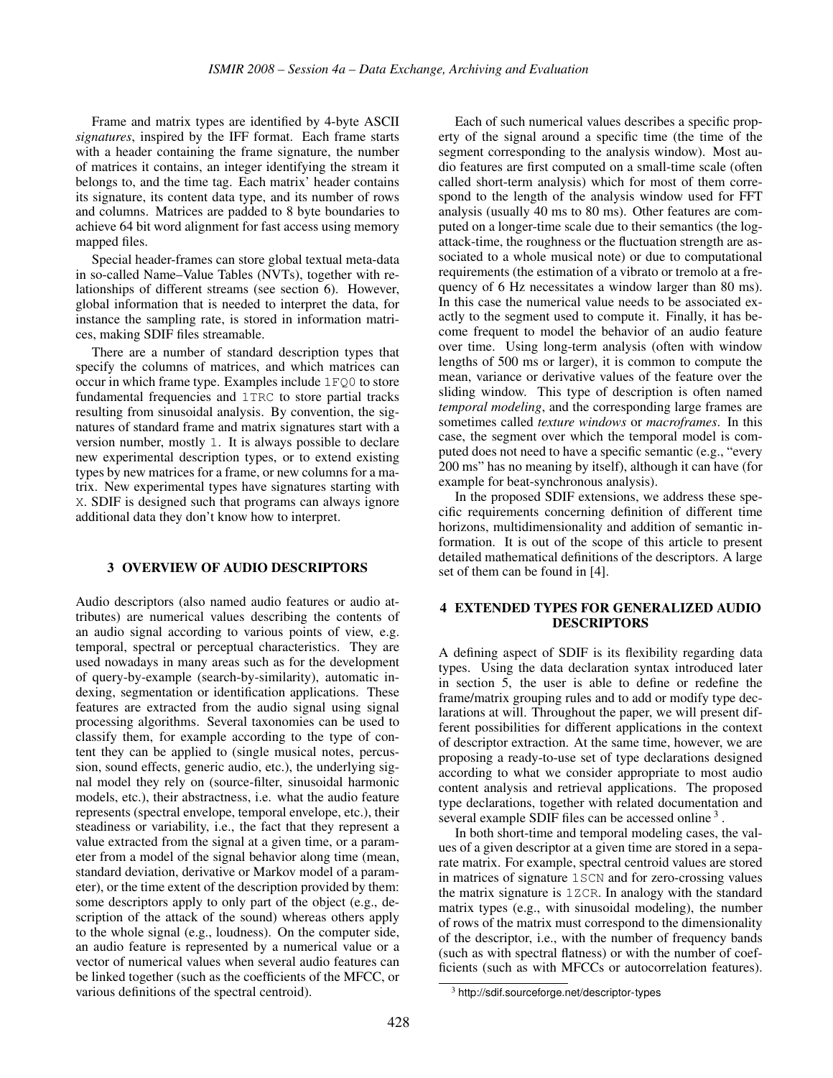Frame and matrix types are identified by 4-byte ASCII *signatures*, inspired by the IFF format. Each frame starts with a header containing the frame signature, the number of matrices it contains, an integer identifying the stream it belongs to, and the time tag. Each matrix' header contains its signature, its content data type, and its number of rows and columns. Matrices are padded to 8 byte boundaries to achieve 64 bit word alignment for fast access using memory mapped files.

Special header-frames can store global textual meta-data in so-called Name–Value Tables (NVTs), together with relationships of different streams (see section 6). However, global information that is needed to interpret the data, for instance the sampling rate, is stored in information matrices, making SDIF files streamable.

There are a number of standard description types that specify the columns of matrices, and which matrices can occur in which frame type. Examples include 1FQ0 to store fundamental frequencies and 1TRC to store partial tracks resulting from sinusoidal analysis. By convention, the signatures of standard frame and matrix signatures start with a version number, mostly 1. It is always possible to declare new experimental description types, or to extend existing types by new matrices for a frame, or new columns for a matrix. New experimental types have signatures starting with X. SDIF is designed such that programs can always ignore additional data they don't know how to interpret.

# 3 OVERVIEW OF AUDIO DESCRIPTORS

Audio descriptors (also named audio features or audio attributes) are numerical values describing the contents of an audio signal according to various points of view, e.g. temporal, spectral or perceptual characteristics. They are used nowadays in many areas such as for the development of query-by-example (search-by-similarity), automatic indexing, segmentation or identification applications. These features are extracted from the audio signal using signal processing algorithms. Several taxonomies can be used to classify them, for example according to the type of content they can be applied to (single musical notes, percussion, sound effects, generic audio, etc.), the underlying signal model they rely on (source-filter, sinusoidal harmonic models, etc.), their abstractness, i.e. what the audio feature represents (spectral envelope, temporal envelope, etc.), their steadiness or variability, i.e., the fact that they represent a value extracted from the signal at a given time, or a parameter from a model of the signal behavior along time (mean, standard deviation, derivative or Markov model of a parameter), or the time extent of the description provided by them: some descriptors apply to only part of the object (e.g., description of the attack of the sound) whereas others apply to the whole signal (e.g., loudness). On the computer side, an audio feature is represented by a numerical value or a vector of numerical values when several audio features can be linked together (such as the coefficients of the MFCC, or various definitions of the spectral centroid).

Each of such numerical values describes a specific property of the signal around a specific time (the time of the segment corresponding to the analysis window). Most audio features are first computed on a small-time scale (often called short-term analysis) which for most of them correspond to the length of the analysis window used for FFT analysis (usually 40 ms to 80 ms). Other features are computed on a longer-time scale due to their semantics (the logattack-time, the roughness or the fluctuation strength are associated to a whole musical note) or due to computational requirements (the estimation of a vibrato or tremolo at a frequency of 6 Hz necessitates a window larger than 80 ms). In this case the numerical value needs to be associated exactly to the segment used to compute it. Finally, it has become frequent to model the behavior of an audio feature over time. Using long-term analysis (often with window lengths of 500 ms or larger), it is common to compute the mean, variance or derivative values of the feature over the sliding window. This type of description is often named *temporal modeling*, and the corresponding large frames are sometimes called *texture windows* or *macroframes*. In this case, the segment over which the temporal model is computed does not need to have a specific semantic (e.g., "every 200 ms" has no meaning by itself), although it can have (for example for beat-synchronous analysis).

In the proposed SDIF extensions, we address these specific requirements concerning definition of different time horizons, multidimensionality and addition of semantic information. It is out of the scope of this article to present detailed mathematical definitions of the descriptors. A large set of them can be found in [4].

# 4 EXTENDED TYPES FOR GENERALIZED AUDIO DESCRIPTORS

A defining aspect of SDIF is its flexibility regarding data types. Using the data declaration syntax introduced later in section 5, the user is able to define or redefine the frame/matrix grouping rules and to add or modify type declarations at will. Throughout the paper, we will present different possibilities for different applications in the context of descriptor extraction. At the same time, however, we are proposing a ready-to-use set of type declarations designed according to what we consider appropriate to most audio content analysis and retrieval applications. The proposed type declarations, together with related documentation and several example SDIF files can be accessed online<sup>3</sup>.

In both short-time and temporal modeling cases, the values of a given descriptor at a given time are stored in a separate matrix. For example, spectral centroid values are stored in matrices of signature 1SCN and for zero-crossing values the matrix signature is 1ZCR. In analogy with the standard matrix types (e.g., with sinusoidal modeling), the number of rows of the matrix must correspond to the dimensionality of the descriptor, i.e., with the number of frequency bands (such as with spectral flatness) or with the number of coefficients (such as with MFCCs or autocorrelation features).

<sup>3</sup> http://sdif.sourceforge.net/descriptor-types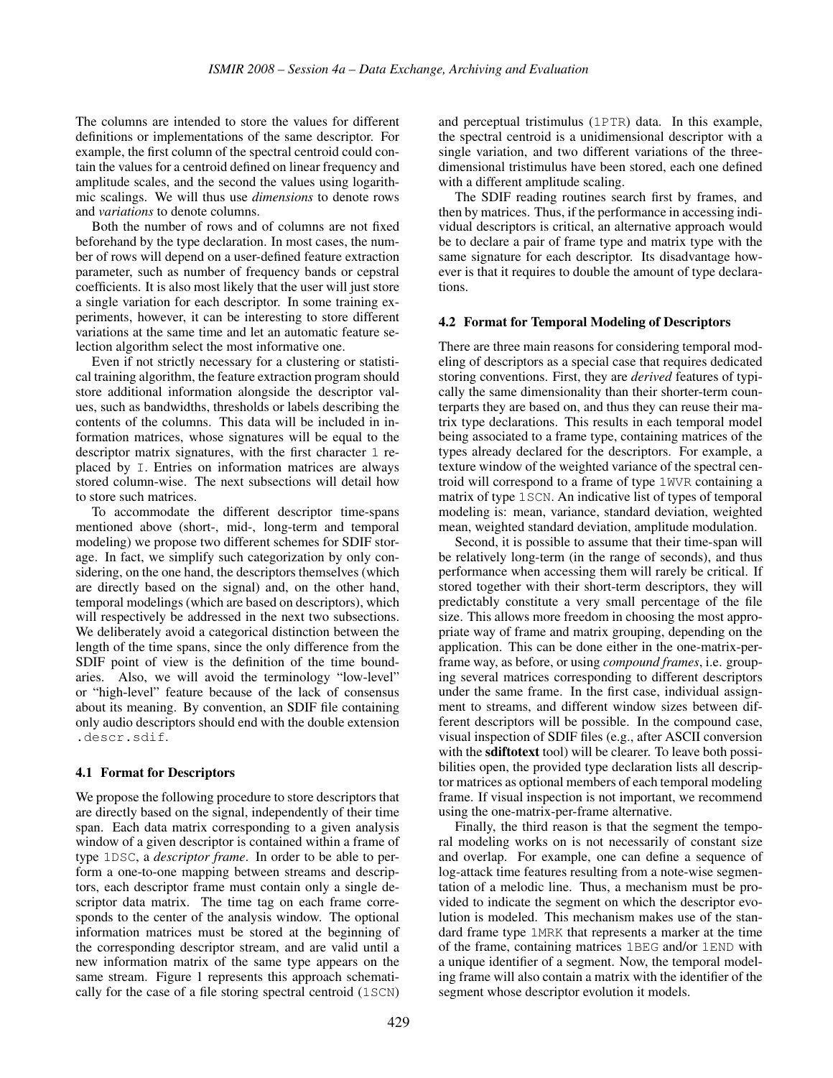The columns are intended to store the values for different definitions or implementations of the same descriptor. For example, the first column of the spectral centroid could contain the values for a centroid defined on linear frequency and amplitude scales, and the second the values using logarithmic scalings. We will thus use *dimensions* to denote rows and *variations* to denote columns.

Both the number of rows and of columns are not fixed beforehand by the type declaration. In most cases, the number of rows will depend on a user-defined feature extraction parameter, such as number of frequency bands or cepstral coefficients. It is also most likely that the user will just store a single variation for each descriptor. In some training experiments, however, it can be interesting to store different variations at the same time and let an automatic feature selection algorithm select the most informative one.

Even if not strictly necessary for a clustering or statistical training algorithm, the feature extraction program should store additional information alongside the descriptor values, such as bandwidths, thresholds or labels describing the contents of the columns. This data will be included in information matrices, whose signatures will be equal to the descriptor matrix signatures, with the first character 1 replaced by I. Entries on information matrices are always stored column-wise. The next subsections will detail how to store such matrices.

To accommodate the different descriptor time-spans mentioned above (short-, mid-, long-term and temporal modeling) we propose two different schemes for SDIF storage. In fact, we simplify such categorization by only considering, on the one hand, the descriptors themselves (which are directly based on the signal) and, on the other hand, temporal modelings (which are based on descriptors), which will respectively be addressed in the next two subsections. We deliberately avoid a categorical distinction between the length of the time spans, since the only difference from the SDIF point of view is the definition of the time boundaries. Also, we will avoid the terminology "low-level" or "high-level" feature because of the lack of consensus about its meaning. By convention, an SDIF file containing only audio descriptors should end with the double extension .descr.sdif.

## 4.1 Format for Descriptors

We propose the following procedure to store descriptors that are directly based on the signal, independently of their time span. Each data matrix corresponding to a given analysis window of a given descriptor is contained within a frame of type 1DSC, a *descriptor frame*. In order to be able to perform a one-to-one mapping between streams and descriptors, each descriptor frame must contain only a single descriptor data matrix. The time tag on each frame corresponds to the center of the analysis window. The optional information matrices must be stored at the beginning of the corresponding descriptor stream, and are valid until a new information matrix of the same type appears on the same stream. Figure 1 represents this approach schematically for the case of a file storing spectral centroid (1SCN)

and perceptual tristimulus (1PTR) data. In this example, the spectral centroid is a unidimensional descriptor with a single variation, and two different variations of the threedimensional tristimulus have been stored, each one defined with a different amplitude scaling.

The SDIF reading routines search first by frames, and then by matrices. Thus, if the performance in accessing individual descriptors is critical, an alternative approach would be to declare a pair of frame type and matrix type with the same signature for each descriptor. Its disadvantage however is that it requires to double the amount of type declarations.

#### 4.2 Format for Temporal Modeling of Descriptors

There are three main reasons for considering temporal modeling of descriptors as a special case that requires dedicated storing conventions. First, they are *derived* features of typically the same dimensionality than their shorter-term counterparts they are based on, and thus they can reuse their matrix type declarations. This results in each temporal model being associated to a frame type, containing matrices of the types already declared for the descriptors. For example, a texture window of the weighted variance of the spectral centroid will correspond to a frame of type 1WVR containing a matrix of type 1SCN. An indicative list of types of temporal modeling is: mean, variance, standard deviation, weighted mean, weighted standard deviation, amplitude modulation.

Second, it is possible to assume that their time-span will be relatively long-term (in the range of seconds), and thus performance when accessing them will rarely be critical. If stored together with their short-term descriptors, they will predictably constitute a very small percentage of the file size. This allows more freedom in choosing the most appropriate way of frame and matrix grouping, depending on the application. This can be done either in the one-matrix-perframe way, as before, or using *compound frames*, i.e. grouping several matrices corresponding to different descriptors under the same frame. In the first case, individual assignment to streams, and different window sizes between different descriptors will be possible. In the compound case, visual inspection of SDIF files (e.g., after ASCII conversion with the sdiftotext tool) will be clearer. To leave both possibilities open, the provided type declaration lists all descriptor matrices as optional members of each temporal modeling frame. If visual inspection is not important, we recommend using the one-matrix-per-frame alternative.

Finally, the third reason is that the segment the temporal modeling works on is not necessarily of constant size and overlap. For example, one can define a sequence of log-attack time features resulting from a note-wise segmentation of a melodic line. Thus, a mechanism must be provided to indicate the segment on which the descriptor evolution is modeled. This mechanism makes use of the standard frame type 1MRK that represents a marker at the time of the frame, containing matrices 1BEG and/or 1END with a unique identifier of a segment. Now, the temporal modeling frame will also contain a matrix with the identifier of the segment whose descriptor evolution it models.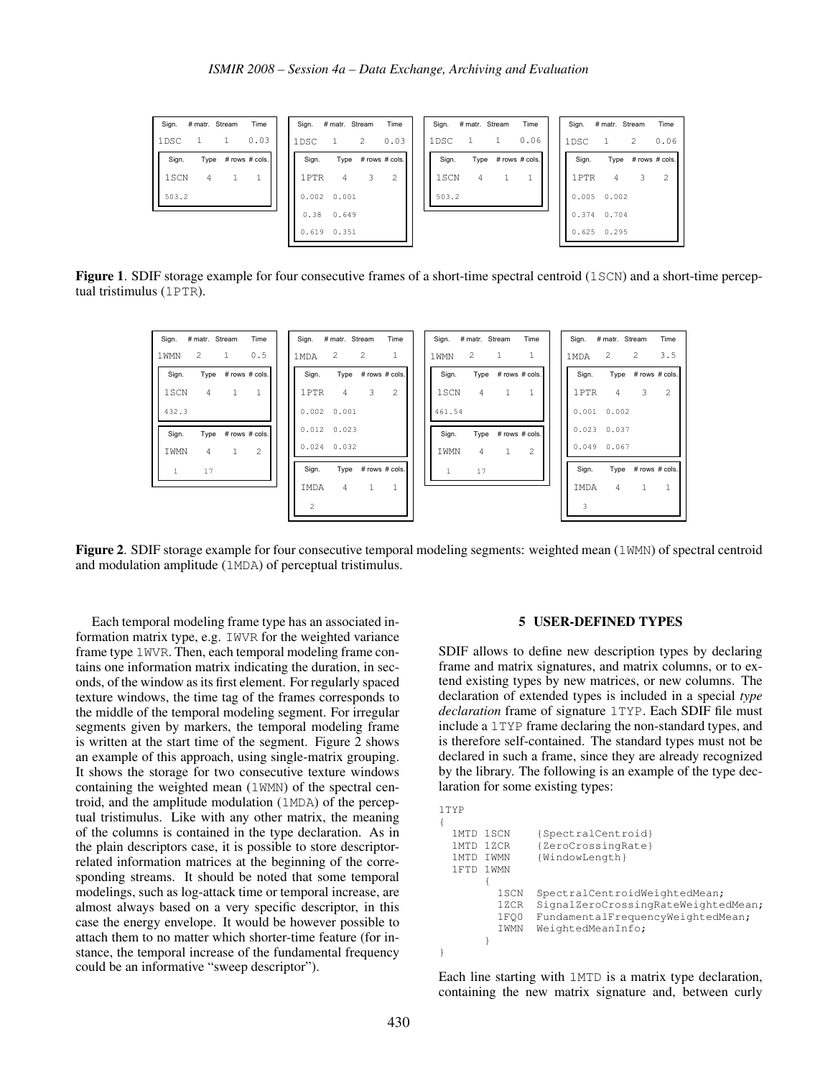| Sign. # matr. Stream<br>Time | Sign. # matr. Stream<br>Time              | # matr. Stream<br>Time<br>Sign. | Time<br>Sign. # matr. Stream |
|------------------------------|-------------------------------------------|---------------------------------|------------------------------|
| 0.03<br>1DSC                 | $\overline{2}$<br>0.03<br>1DSC<br>-1      | 0.06<br>1DSC                    | 0.06<br>-2<br>1DSC           |
| Type # rows # cols.<br>Sign. | Type # rows # cols.<br>Sign.              | Sign.<br>Type # rows # cols.    | Sign.<br>Type # rows # cols. |
| 1SCN<br>4                    | 1PTR<br>$\overline{\mathbf{3}}$<br>4<br>2 | 1SCN<br>4                       | 1PTR<br>3<br>2<br>4          |
| 503.2                        | 0.002 0.001                               | 503.2                           | $0.005$ 0.002                |
|                              | $0.38$ 0.649                              |                                 | 0.374 0.704                  |
|                              | $0.619$ $0.351$                           |                                 | $0.625$ 0.295                |

Figure 1. SDIF storage example for four consecutive frames of a short-time spectral centroid (1SCN) and a short-time perceptual tristimulus (1PTR).

| Time<br># matr. Stream<br>Sign. | # matr. Stream<br>Sign. | Time                | # matr. Stream<br>Sign. | Time              | Sign.           | # matr. Stream<br>Time |
|---------------------------------|-------------------------|---------------------|-------------------------|-------------------|-----------------|------------------------|
| 2<br>1<br>0.5<br>1 WMN          | 2<br>1MDA               | 2<br>$\mathbf{1}$   | 2<br>1 WMN              | 1<br>1            | 2<br>1MDA       | 2<br>3.5               |
| Type # rows # cols.<br>Sign.    | Sign.                   | Type # rows # cols. | Sign.<br>Type           | # rows # cols.    | Sign.           | Type # rows # cols.    |
| 4<br>$\mathbf{1}$<br>1SCN       | $\overline{4}$<br>1PTR  | 3<br>2              | $\overline{4}$<br>1SCN  | -1                | 1PTR            | 3<br>2<br>4            |
| 432.3                           | 0.002 0.001             |                     | 461.54                  |                   | $0.001$ $0.002$ |                        |
| # rows # cols.<br>Sign.<br>Type | $0.012 \quad 0.023$     |                     | Sign.<br>Type           | # rows # cols.    | $0.023$ 0.037   |                        |
| 2<br>4<br>IWMN<br>$\mathbf{1}$  | $0.024$ 0.032           |                     | IWMN<br>4               | 2<br>$\mathbf{1}$ | $0.049$ $0.067$ |                        |
| 17<br>1                         | Sign.                   | Type # rows # cols. | 17<br>1                 |                   | Sign.           | Type # rows # cols.    |
|                                 | $\overline{4}$<br>IMDA  | 1<br>1              |                         |                   | IMDA            | $\mathbf{1}$<br>1<br>4 |
|                                 | 2                       |                     |                         |                   | 3               |                        |

Figure 2. SDIF storage example for four consecutive temporal modeling segments: weighted mean (1WMN) of spectral centroid and modulation amplitude (1MDA) of perceptual tristimulus.

{

}

Each temporal modeling frame type has an associated information matrix type, e.g. IWVR for the weighted variance frame type 1WVR. Then, each temporal modeling frame contains one information matrix indicating the duration, in seconds, of the window as its first element. For regularly spaced texture windows, the time tag of the frames corresponds to the middle of the temporal modeling segment. For irregular segments given by markers, the temporal modeling frame is written at the start time of the segment. Figure 2 shows an example of this approach, using single-matrix grouping. It shows the storage for two consecutive texture windows containing the weighted mean (1WMN) of the spectral centroid, and the amplitude modulation (1MDA) of the perceptual tristimulus. Like with any other matrix, the meaning of the columns is contained in the type declaration. As in the plain descriptors case, it is possible to store descriptorrelated information matrices at the beginning of the corresponding streams. It should be noted that some temporal modelings, such as log-attack time or temporal increase, are almost always based on a very specific descriptor, in this case the energy envelope. It would be however possible to attach them to no matter which shorter-time feature (for instance, the temporal increase of the fundamental frequency could be an informative "sweep descriptor").

# 5 USER-DEFINED TYPES

SDIF allows to define new description types by declaring frame and matrix signatures, and matrix columns, or to extend existing types by new matrices, or new columns. The declaration of extended types is included in a special *type declaration* frame of signature 1TYP. Each SDIF file must include a 1TYP frame declaring the non-standard types, and is therefore self-contained. The standard types must not be declared in such a frame, since they are already recognized by the library. The following is an example of the type declaration for some existing types:

```
1TYP
1MTD 1SCN {SpectralCentroid}<br>1MTD 1ZCR {ZeroCrossingRate}
               {ZeroCrossingRate}
1MTD IWMN {WindowLength}
1FTD 1WMN
      {
        1SCN SpectralCentroidWeightedMean;
        1ZCR SignalZeroCrossingRateWeightedMean;
        1FQ0 FundamentalFrequencyWeightedMean;
        IWMN WeightedMeanInfo;
      }
```
Each line starting with 1MTD is a matrix type declaration, containing the new matrix signature and, between curly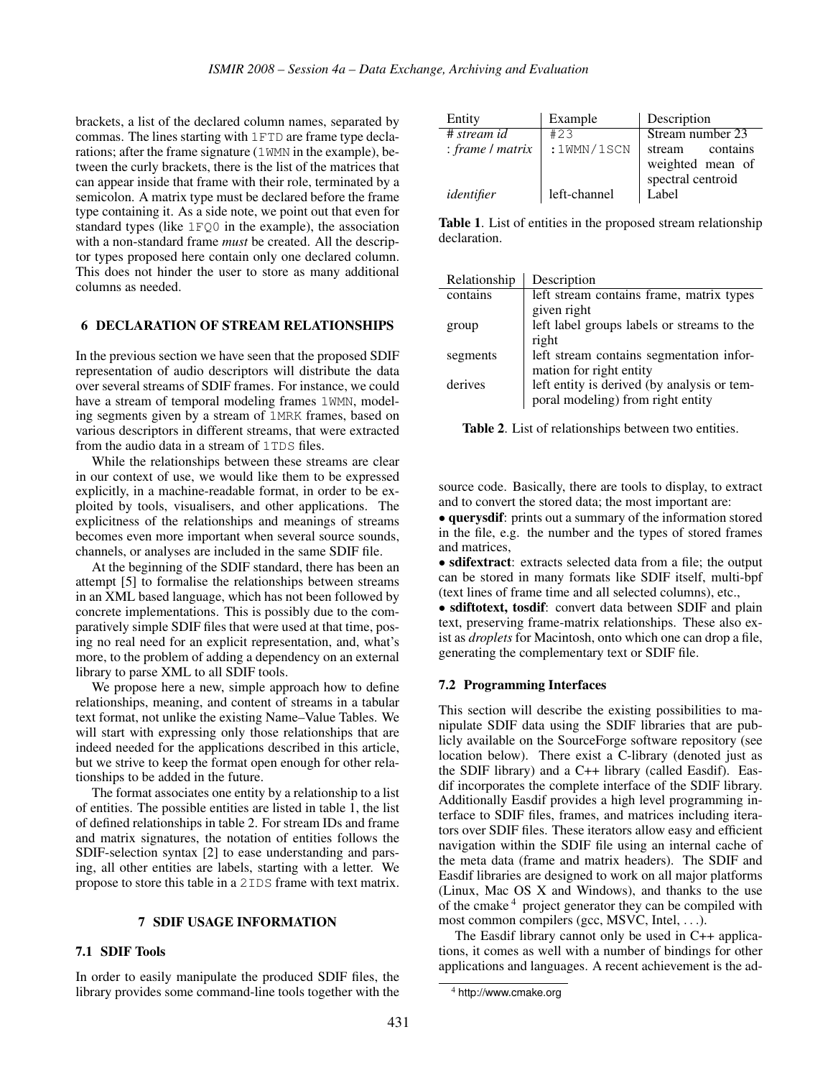brackets, a list of the declared column names, separated by commas. The lines starting with 1FTD are frame type declarations; after the frame signature (1WMN in the example), between the curly brackets, there is the list of the matrices that can appear inside that frame with their role, terminated by a semicolon. A matrix type must be declared before the frame type containing it. As a side note, we point out that even for standard types (like  $1 \cdot \text{FQ0}$  in the example), the association with a non-standard frame *must* be created. All the descriptor types proposed here contain only one declared column. This does not hinder the user to store as many additional columns as needed.

#### 6 DECLARATION OF STREAM RELATIONSHIPS

In the previous section we have seen that the proposed SDIF representation of audio descriptors will distribute the data over several streams of SDIF frames. For instance, we could have a stream of temporal modeling frames 1WMN, modeling segments given by a stream of 1MRK frames, based on various descriptors in different streams, that were extracted from the audio data in a stream of 1TDS files.

While the relationships between these streams are clear in our context of use, we would like them to be expressed explicitly, in a machine-readable format, in order to be exploited by tools, visualisers, and other applications. The explicitness of the relationships and meanings of streams becomes even more important when several source sounds, channels, or analyses are included in the same SDIF file.

At the beginning of the SDIF standard, there has been an attempt [5] to formalise the relationships between streams in an XML based language, which has not been followed by concrete implementations. This is possibly due to the comparatively simple SDIF files that were used at that time, posing no real need for an explicit representation, and, what's more, to the problem of adding a dependency on an external library to parse XML to all SDIF tools.

We propose here a new, simple approach how to define relationships, meaning, and content of streams in a tabular text format, not unlike the existing Name–Value Tables. We will start with expressing only those relationships that are indeed needed for the applications described in this article, but we strive to keep the format open enough for other relationships to be added in the future.

The format associates one entity by a relationship to a list of entities. The possible entities are listed in table 1, the list of defined relationships in table 2. For stream IDs and frame and matrix signatures, the notation of entities follows the SDIF-selection syntax [2] to ease understanding and parsing, all other entities are labels, starting with a letter. We propose to store this table in a 2IDS frame with text matrix.

#### 7 SDIF USAGE INFORMATION

#### 7.1 SDIF Tools

In order to easily manipulate the produced SDIF files, the library provides some command-line tools together with the

| Entity           | Example      | Description        |
|------------------|--------------|--------------------|
| # stream id      | #23          | Stream number 23   |
| : frame / matrix | :1WMN/1SCN   | contains<br>stream |
|                  |              | weighted mean of   |
|                  |              | spectral centroid  |
| identifier       | left-channel | Label              |

Table 1. List of entities in the proposed stream relationship declaration.

| Relationship | Description                                 |
|--------------|---------------------------------------------|
| contains     | left stream contains frame, matrix types    |
|              | given right                                 |
| group        | left label groups labels or streams to the  |
|              | right                                       |
| segments     | left stream contains segmentation infor-    |
|              | mation for right entity                     |
| derives      | left entity is derived (by analysis or tem- |
|              | poral modeling) from right entity           |

Table 2. List of relationships between two entities.

source code. Basically, there are tools to display, to extract and to convert the stored data; the most important are:

• querysdif: prints out a summary of the information stored in the file, e.g. the number and the types of stored frames and matrices,

• sdifextract: extracts selected data from a file; the output can be stored in many formats like SDIF itself, multi-bpf (text lines of frame time and all selected columns), etc.,

• sdiftotext, tosdif: convert data between SDIF and plain text, preserving frame-matrix relationships. These also exist as *droplets* for Macintosh, onto which one can drop a file, generating the complementary text or SDIF file.

#### 7.2 Programming Interfaces

This section will describe the existing possibilities to manipulate SDIF data using the SDIF libraries that are publicly available on the SourceForge software repository (see location below). There exist a C-library (denoted just as the SDIF library) and a C++ library (called Easdif). Easdif incorporates the complete interface of the SDIF library. Additionally Easdif provides a high level programming interface to SDIF files, frames, and matrices including iterators over SDIF files. These iterators allow easy and efficient navigation within the SDIF file using an internal cache of the meta data (frame and matrix headers). The SDIF and Easdif libraries are designed to work on all major platforms (Linux, Mac OS X and Windows), and thanks to the use of the cmake <sup>4</sup> project generator they can be compiled with most common compilers (gcc, MSVC, Intel, ...).

The Easdif library cannot only be used in C++ applications, it comes as well with a number of bindings for other applications and languages. A recent achievement is the ad-

<sup>4</sup> http://www.cmake.org